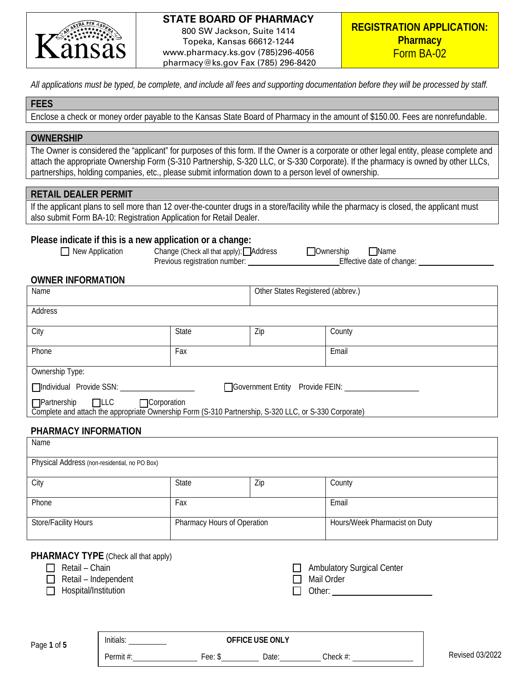

800 SW Jackson, Suite 1414 Topeka, Kansas 66612-1244 www.pharmacy.ks.gov (785)296-4056 pharmacy@ks.gov Fax (785) 296-8420

*All applications must be typed, be complete, and include all fees and supporting documentation before they will be processed by staff.* 

## **FEES**

Enclose a check or money order payable to the Kansas State Board of Pharmacy in the amount of \$150.00. Fees are nonrefundable.

## **OWNERSHIP**

The Owner is considered the "applicant" for purposes of this form. If the Owner is a corporate or other legal entity, please complete and attach the appropriate Ownership Form (S-310 Partnership, S-320 LLC, or S-330 Corporate). If the pharmacy is owned by other LLCs, partnerships, holding companies, etc., please submit information down to a person level of ownership.

## **RETAIL DEALER PERMIT**

If the applicant plans to sell more than 12 over-the-counter drugs in a store/facility while the pharmacy is closed, the applicant must also submit Form BA-10: Registration Application for Retail Dealer.

#### **Please indicate if this is a new application or a change:**

■ New Application Change (Check all that apply): **Outing the Change Check all that apply**): **Ownership Ownership Ownership Ownership Ownership Ownership Ownership CHANGE CHANGE CHANGE CHANGE CHANGE CHANGE CH** Previous registration number:

## **OWNER INFORMATION**

| Name                                                                                                                                     |              | Other States Registered (abbrev.) |        |
|------------------------------------------------------------------------------------------------------------------------------------------|--------------|-----------------------------------|--------|
| Address                                                                                                                                  |              |                                   |        |
| City                                                                                                                                     | <b>State</b> | Zip                               | County |
| Phone                                                                                                                                    | Fax          |                                   | Email  |
| Ownership Type:                                                                                                                          |              |                                   |        |
| Individual Provide SSN: __________<br>□ Government Entity Provide FEIN:                                                                  |              |                                   |        |
| □Partnership □LLC □ Corporation<br>Complete and attach the appropriate Ownership Form (S-310 Partnership, S-320 LLC, or S-330 Corporate) |              |                                   |        |

## **PHARMACY INFORMATION**

| Name                                          |                             |     |                               |
|-----------------------------------------------|-----------------------------|-----|-------------------------------|
| Physical Address (non-residential, no PO Box) |                             |     |                               |
| City                                          | State                       | Zip | County                        |
| Phone                                         | Fax                         |     | Email                         |
| Store/Facility Hours                          | Pharmacy Hours of Operation |     | Hours/Week Pharmacist on Duty |

# **PHARMACY TYPE** (Check all that apply)

- $\Box$  Retail Chain
- Retail Independent
- $\Box$  Hospital/Institution

Ambulatory Surgical Center □ Mail Order Other:

| Page 1 of 5 |  |  |
|-------------|--|--|

Initials: **OFFICE USE ONLY**

Permit #: Fee: \$ Date: Check #: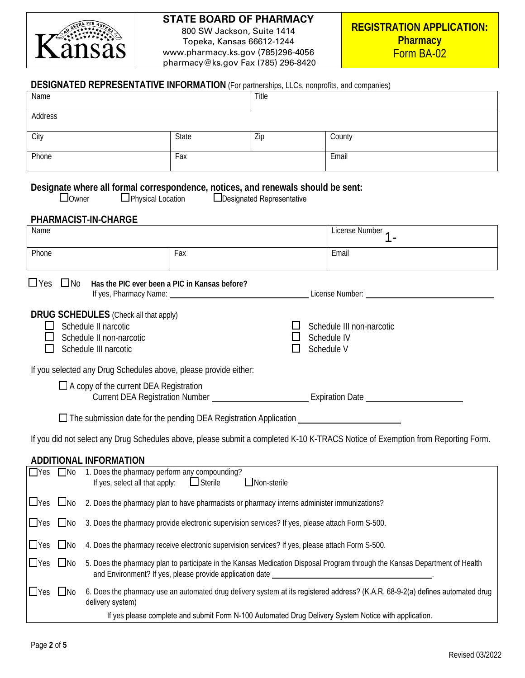

800 SW Jackson, Suite 1414 Topeka, Kansas 66612-1244 www.pharmacy.ks.gov (785)296-4056 pharmacy@ks.gov Fax (785) 296-8420

| <b>DESIGNATED REPRESENTATIVE INFORMATION</b> (For partnerships, LLCs, nonprofits, and companies)                                                                                                                                            |                                                                                                                                                                                                                                        |       |                    |  |
|---------------------------------------------------------------------------------------------------------------------------------------------------------------------------------------------------------------------------------------------|----------------------------------------------------------------------------------------------------------------------------------------------------------------------------------------------------------------------------------------|-------|--------------------|--|
| Name                                                                                                                                                                                                                                        |                                                                                                                                                                                                                                        | Title |                    |  |
| Address                                                                                                                                                                                                                                     |                                                                                                                                                                                                                                        |       |                    |  |
| City                                                                                                                                                                                                                                        | State                                                                                                                                                                                                                                  | Zip   | County             |  |
| Phone                                                                                                                                                                                                                                       | Fax                                                                                                                                                                                                                                    |       | Email              |  |
| Designate where all formal correspondence, notices, and renewals should be sent:<br>□Physical Location □Designated Representative<br>$\Box$ Owner<br>PHARMACIST-IN-CHARGE                                                                   |                                                                                                                                                                                                                                        |       |                    |  |
| Name                                                                                                                                                                                                                                        |                                                                                                                                                                                                                                        |       | License Number 1 - |  |
| Phone                                                                                                                                                                                                                                       | Fax                                                                                                                                                                                                                                    |       | Email              |  |
| $\Box$ Yes $\Box$ No<br>Has the PIC ever been a PIC in Kansas before?<br><b>DRUG SCHEDULES</b> (Check all that apply)<br>$\Box$ Schedule II narcotic<br>Schedule III non-narcotic<br>Schedule II non-narcotic<br>Schedule IV<br>$\Box$<br>ப |                                                                                                                                                                                                                                        |       |                    |  |
| Schedule V<br>Schedule III narcotic                                                                                                                                                                                                         |                                                                                                                                                                                                                                        |       |                    |  |
| If you selected any Drug Schedules above, please provide either:<br>$\Box$ A copy of the current DEA Registration                                                                                                                           |                                                                                                                                                                                                                                        |       |                    |  |
|                                                                                                                                                                                                                                             |                                                                                                                                                                                                                                        |       |                    |  |
| If you did not select any Drug Schedules above, please submit a completed K-10 K-TRACS Notice of Exemption from Reporting Form.                                                                                                             |                                                                                                                                                                                                                                        |       |                    |  |
| <b>ADDITIONAL INFORMATION</b>                                                                                                                                                                                                               |                                                                                                                                                                                                                                        |       |                    |  |
| $\Box$ No<br>$\Box$ Yes<br>1. Does the pharmacy perform any compounding?<br>If yes, select all that apply:<br>$\Box$ Sterile<br>□Non-sterile                                                                                                |                                                                                                                                                                                                                                        |       |                    |  |
| $\Box$ Yes<br>$\Box$ No<br>2. Does the pharmacy plan to have pharmacists or pharmacy interns administer immunizations?                                                                                                                      |                                                                                                                                                                                                                                        |       |                    |  |
| $\Box$ Yes<br>$\Box$ No<br>3. Does the pharmacy provide electronic supervision services? If yes, please attach Form S-500.                                                                                                                  |                                                                                                                                                                                                                                        |       |                    |  |
| $\Box$ No<br>$\Box$ Yes                                                                                                                                                                                                                     | 4. Does the pharmacy receive electronic supervision services? If yes, please attach Form S-500.                                                                                                                                        |       |                    |  |
| $\Box$ Yes<br>$\Box$ No<br>5. Does the pharmacy plan to participate in the Kansas Medication Disposal Program through the Kansas Department of Health<br>and Environment? If yes, please provide application date                           |                                                                                                                                                                                                                                        |       |                    |  |
| $\Box$ No<br>$\Box$ Yes<br>delivery system)                                                                                                                                                                                                 | 6. Does the pharmacy use an automated drug delivery system at its registered address? (K.A.R. 68-9-2(a) defines automated drug<br>If yes please complete and submit Form N-100 Automated Drug Delivery System Notice with application. |       |                    |  |
|                                                                                                                                                                                                                                             |                                                                                                                                                                                                                                        |       |                    |  |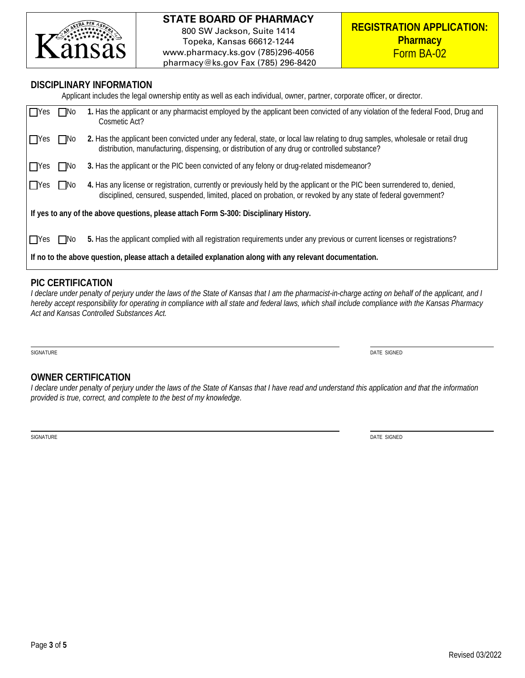

#### **DISCIPLINARY INFORMATION**

Applicant includes the legal ownership entity as well as each individual, owner, partner, corporate officer, or director. Yes No **1.** Has the applicant or any pharmacist employed by the applicant been convicted of any violation of the federal Food, Drug and Cosmetic Act? □Yes □No 2. Has the applicant been convicted under any federal, state, or local law relating to drug samples, wholesale or retail drug distribution, manufacturing, dispensing, or distribution of any drug or controlled substance? **The State 3.** Has the applicant or the PIC been convicted of any felony or drug-related misdemeanor? **T**Yes **T**No 4. Has any license or registration, currently or previously held by the applicant or the PIC been surrendered to, denied, disciplined, censured, suspended, limited, placed on probation, or revoked by any state of federal government? **If yes to any of the above questions, please attach Form S-300: Disciplinary History.** ■ Yes ■ No 5. Has the applicant complied with all registration requirements under any previous or current licenses or registrations? **If no to the above question, please attach a detailed explanation along with any relevant documentation.**

# **PIC CERTIFICATION**

*I declare under penalty of perjury under the laws of the State of Kansas that I am the pharmacist-in-charge acting on behalf of the applicant, and I hereby accept responsibility for operating in compliance with all state and federal laws, which shall include compliance with the Kansas Pharmacy Act and Kansas Controlled Substances Act.*

SIGNATURE DATE SIGNED DATE SIGNED DATE SIGNED DATE SIGNED DATE SIGNED DATE SIGNED DATE SIGNED DATE SIGNED DATE SIGNED DATE SIGNED DATE SIGNED DATE SIGNED DATE SIGNED DATE SIGNED DATE SIGNED DATE SIGNED DATE SIGNED DATE SIG

## **OWNER CERTIFICATION**

*I declare under penalty of perjury under the laws of the State of Kansas that I have read and understand this application and that the information provided is true, correct, and complete to the best of my knowledge.*

SIGNATURE DATE SIGNED DATE SIGNED DATE SIGNED DATE SIGNED DATE SIGNED DATE SIGNED DATE SIGNED DATE SIGNED DATE SIGNED DATE SIGNED DATE SIGNED DATE SIGNED DATE SIGNED DATE SIGNED DATE SIGNED DATE SIGNED DATE SIGNED DATE SIG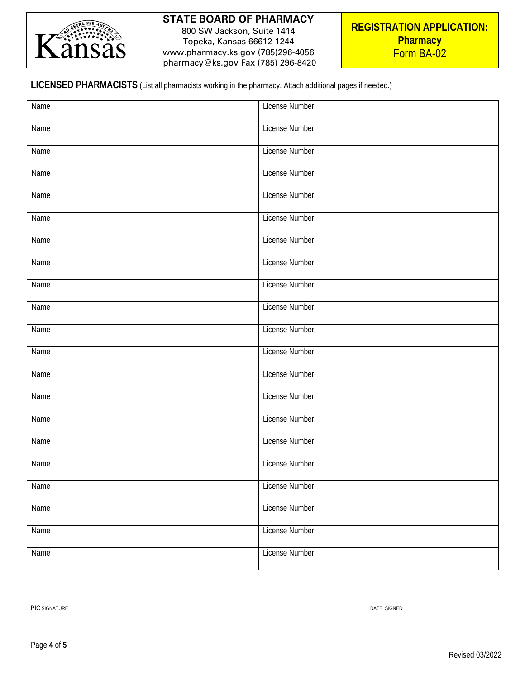

800 SW Jackson, Suite 1414 Topeka, Kansas 66612-1244 www.pharmacy.ks.gov (785)296-4056 pharmacy@ks.gov Fax (785) 296-8420

# **LICENSED PHARMACISTS** (List all pharmacists working in the pharmacy. Attach additional pages if needed.)

| Name | License Number        |
|------|-----------------------|
| Name | License Number        |
| Name | License Number        |
| Name | <b>License Number</b> |
| Name | License Number        |
| Name | <b>License Number</b> |
| Name | <b>License Number</b> |
| Name | License Number        |
| Name | License Number        |
| Name | License Number        |
| Name | License Number        |
| Name | License Number        |
| Name | License Number        |
| Name | <b>License Number</b> |
| Name | License Number        |
| Name | <b>License Number</b> |
| Name | <b>License Number</b> |
| Name | License Number        |
| Name | <b>License Number</b> |
| Name | <b>License Number</b> |
| Name | License Number        |

Page **4** of **5**